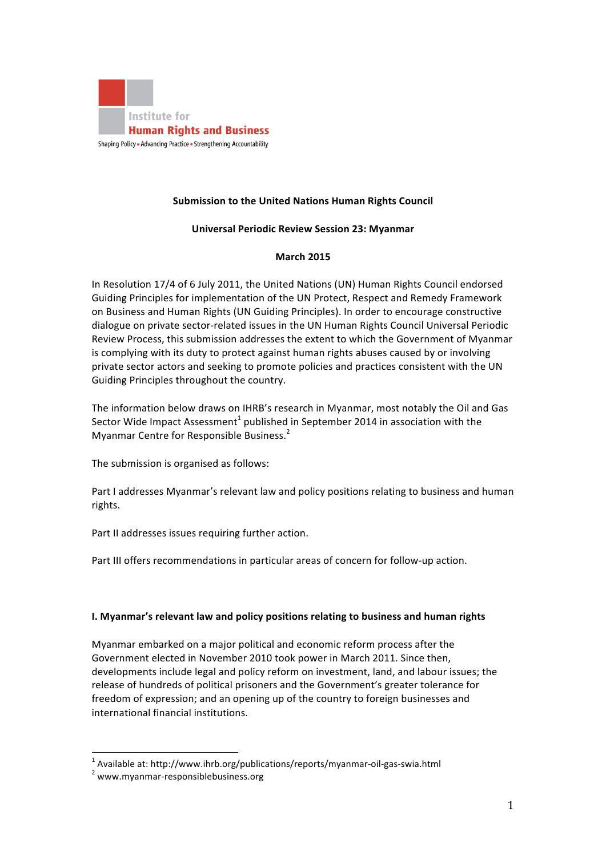

# **Submission to the United Nations Human Rights Council**

### **Universal Periodic Review Session 23: Myanmar**

### **March 2015**

In Resolution 17/4 of 6 July 2011, the United Nations (UN) Human Rights Council endorsed Guiding Principles for implementation of the UN Protect, Respect and Remedy Framework on Business and Human Rights (UN Guiding Principles). In order to encourage constructive dialogue on private sector-related issues in the UN Human Rights Council Universal Periodic Review Process, this submission addresses the extent to which the Government of Myanmar is complying with its duty to protect against human rights abuses caused by or involving private sector actors and seeking to promote policies and practices consistent with the UN Guiding Principles throughout the country.

The information below draws on IHRB's research in Myanmar, most notably the Oil and Gas Sector Wide Impact Assessment<sup>1</sup> published in September 2014 in association with the Myanmar Centre for Responsible Business.<sup>2</sup>

The submission is organised as follows:

Part I addresses Myanmar's relevant law and policy positions relating to business and human rights.

Part II addresses issues requiring further action.

Part III offers recommendations in particular areas of concern for follow-up action.

### **I.** Myanmar's relevant law and policy positions relating to business and human rights

Myanmar embarked on a major political and economic reform process after the Government elected in November 2010 took power in March 2011. Since then, developments include legal and policy reform on investment, land, and labour issues; the release of hundreds of political prisoners and the Government's greater tolerance for freedom of expression; and an opening up of the country to foreign businesses and international financial institutions.

 $\frac{1}{1}$  Australia et batha (fundaminister) <sup>1</sup> Available at: http://www.ihrb.org/publications/reports/myanmar-oil-gas-swia.html<br><sup>2</sup> ......... muanmar, responsiblebusiness arg

www.myanmar-responsiblebusiness.org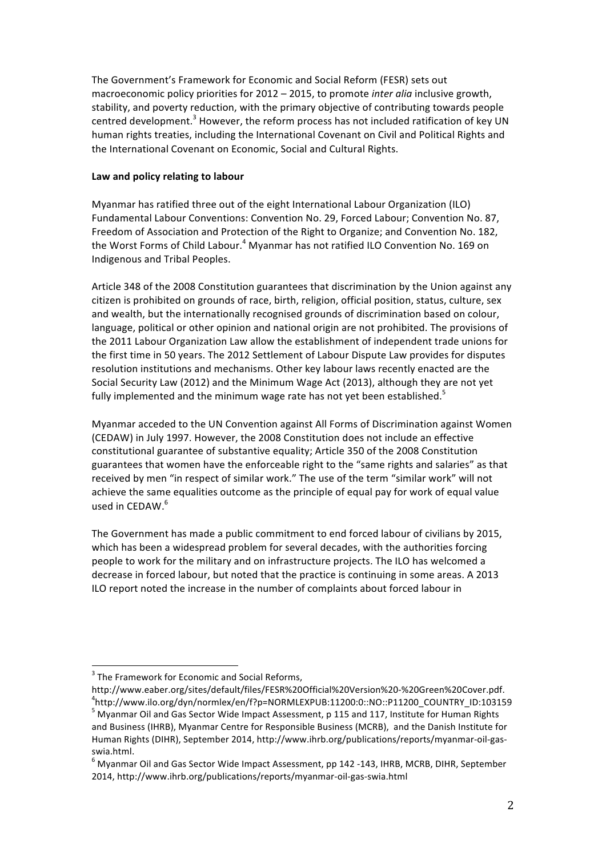The Government's Framework for Economic and Social Reform (FESR) sets out macroeconomic policy priorities for 2012 – 2015, to promote *inter alia* inclusive growth, stability, and poverty reduction, with the primary objective of contributing towards people centred development.<sup>3</sup> However, the reform process has not included ratification of key UN human rights treaties, including the International Covenant on Civil and Political Rights and the International Covenant on Economic, Social and Cultural Rights.

## Law and policy relating to labour

Myanmar has ratified three out of the eight International Labour Organization (ILO) Fundamental Labour Conventions: Convention No. 29, Forced Labour; Convention No. 87, Freedom of Association and Protection of the Right to Organize; and Convention No. 182, the Worst Forms of Child Labour.<sup>4</sup> Myanmar has not ratified ILO Convention No. 169 on Indigenous and Tribal Peoples.

Article 348 of the 2008 Constitution guarantees that discrimination by the Union against any citizen is prohibited on grounds of race, birth, religion, official position, status, culture, sex and wealth, but the internationally recognised grounds of discrimination based on colour, language, political or other opinion and national origin are not prohibited. The provisions of the 2011 Labour Organization Law allow the establishment of independent trade unions for the first time in 50 years. The 2012 Settlement of Labour Dispute Law provides for disputes resolution institutions and mechanisms. Other key labour laws recently enacted are the Social Security Law (2012) and the Minimum Wage Act (2013), although they are not yet fully implemented and the minimum wage rate has not yet been established.<sup>5</sup>

Myanmar acceded to the UN Convention against All Forms of Discrimination against Women (CEDAW) in July 1997. However, the 2008 Constitution does not include an effective constitutional guarantee of substantive equality; Article 350 of the 2008 Constitution guarantees that women have the enforceable right to the "same rights and salaries" as that received by men "in respect of similar work." The use of the term "similar work" will not achieve the same equalities outcome as the principle of equal pay for work of equal value used in CEDAW.<sup>6</sup>

The Government has made a public commitment to end forced labour of civilians by 2015, which has been a widespread problem for several decades, with the authorities forcing people to work for the military and on infrastructure projects. The ILO has welcomed a decrease in forced labour, but noted that the practice is continuing in some areas. A 2013 ILO report noted the increase in the number of complaints about forced labour in

**THE STAME STAME STAME STAME STAME STAME STAME STAME STAME STAME STAME STAME STAME STAME STAME STAME STAME STAME STAME STAME STAME STAME STAME STAME STAME STAME STAME STAME STAME STAME STAME STAME STAME STAME STAME STAME S** 

http://www.eaber.org/sites/default/files/FESR%20Official%20Version%20-%20Green%20Cover.pdf. <sup>4</sup> http://www.ilo.org/dyn/normlex/en/f?p=NORMLEXPUB:11200:0::NO::P11200\_COUNTRY\_ID:103159  $^5$  Myanmar Oil and Gas Sector Wide Impact Assessment, p 115 and 117, Institute for Human Rights and Business (IHRB), Myanmar Centre for Responsible Business (MCRB), and the Danish Institute for Human Rights (DIHR), September 2014, http://www.ihrb.org/publications/reports/myanmar-oil-gasswia.html.

 $^6$  Myanmar Oil and Gas Sector Wide Impact Assessment, pp 142 -143, IHRB, MCRB, DIHR, September 2014, http://www.ihrb.org/publications/reports/myanmar-oil-gas-swia.html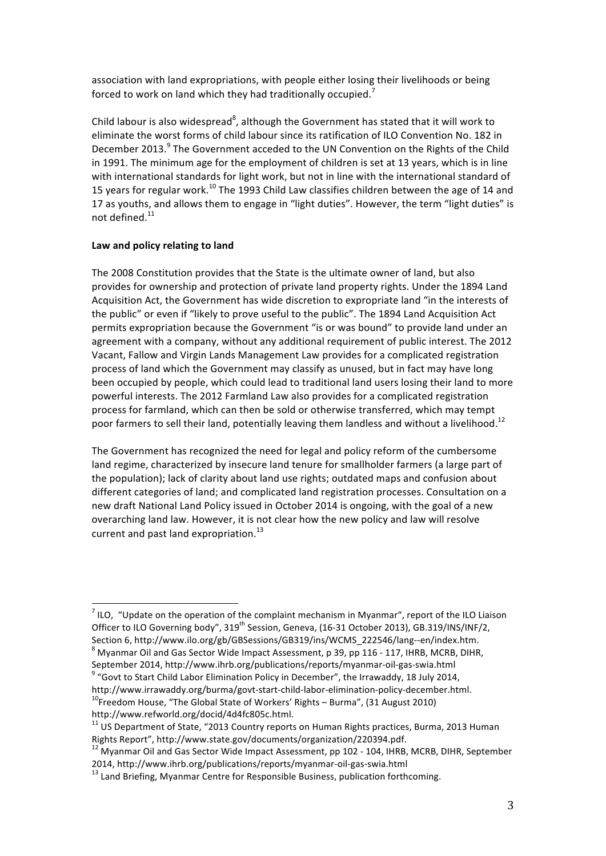association with land expropriations, with people either losing their livelihoods or being forced to work on land which they had traditionally occupied.<sup>7</sup>

Child labour is also widespread<sup>8</sup>, although the Government has stated that it will work to eliminate the worst forms of child labour since its ratification of ILO Convention No. 182 in December 2013.<sup>9</sup> The Government acceded to the UN Convention on the Rights of the Child in 1991. The minimum age for the employment of children is set at 13 years, which is in line with international standards for light work, but not in line with the international standard of 15 years for regular work.<sup>10</sup> The 1993 Child Law classifies children between the age of 14 and 17 as youths, and allows them to engage in "light duties". However, the term "light duties" is not defined.<sup>11</sup>

#### Law and policy relating to land

The 2008 Constitution provides that the State is the ultimate owner of land, but also provides for ownership and protection of private land property rights. Under the 1894 Land Acquisition Act, the Government has wide discretion to expropriate land "in the interests of the public" or even if "likely to prove useful to the public". The 1894 Land Acquisition Act permits expropriation because the Government "is or was bound" to provide land under an agreement with a company, without any additional requirement of public interest. The 2012 Vacant, Fallow and Virgin Lands Management Law provides for a complicated registration process of land which the Government may classify as unused, but in fact may have long been occupied by people, which could lead to traditional land users losing their land to more powerful interests. The 2012 Farmland Law also provides for a complicated registration process for farmland, which can then be sold or otherwise transferred, which may tempt poor farmers to sell their land, potentially leaving them landless and without a livelihood.<sup>12</sup>

The Government has recognized the need for legal and policy reform of the cumbersome land regime, characterized by insecure land tenure for smallholder farmers (a large part of the population); lack of clarity about land use rights; outdated maps and confusion about different categories of land; and complicated land registration processes. Consultation on a new draft National Land Policy issued in October 2014 is ongoing, with the goal of a new overarching land law. However, it is not clear how the new policy and law will resolve current and past land expropriation.<sup>13</sup>

 <sup>7</sup> ILO, "Update on the operation of the complaint mechanism in Myanmar", report of the ILO Liaison Officer to ILO Governing body", 319<sup>th</sup> Session, Geneva, (16-31 October 2013), GB.319/INS/INF/2, Section 6, http://www.ilo.org/gb/GBSessions/GB319/ins/WCMS\_222546/lang--en/index.htm.

 $8$  Myanmar Oil and Gas Sector Wide Impact Assessment, p 39, pp 116 - 117, IHRB, MCRB, DIHR, September 2014, http://www.ihrb.org/publications/reports/myanmar-oil-gas-swia.html

 $9$  "Govt to Start Child Labor Elimination Policy in December", the Irrawaddy, 18 July 2014, http://www.irrawaddy.org/burma/govt-start-child-labor-elimination-policy-december.html.<br><sup>10</sup>Freedom House, "The Global State of Workers' Rights – Burma", (31 August 2010)

http://www.refworld.org/docid/4d4fc805c.html.<br><sup>11</sup> US Department of State, "2013 Country reports on Human Rights practices, Burma, 2013 Human Rights Report", http://www.state.gov/documents/organization/220394.pdf.<br><sup>12</sup> Myanmar Oil and Gas Sector Wide Impact Assessment, pp 102 - 104, IHRB, MCRB, DIHR, September

<sup>2014,</sup> http://www.ihrb.org/publications/reports/myanmar-oil-gas-swia.html<br> $^{13}$  Land Briefing, Myanmar Centre for Responsible Business, publication forthcoming.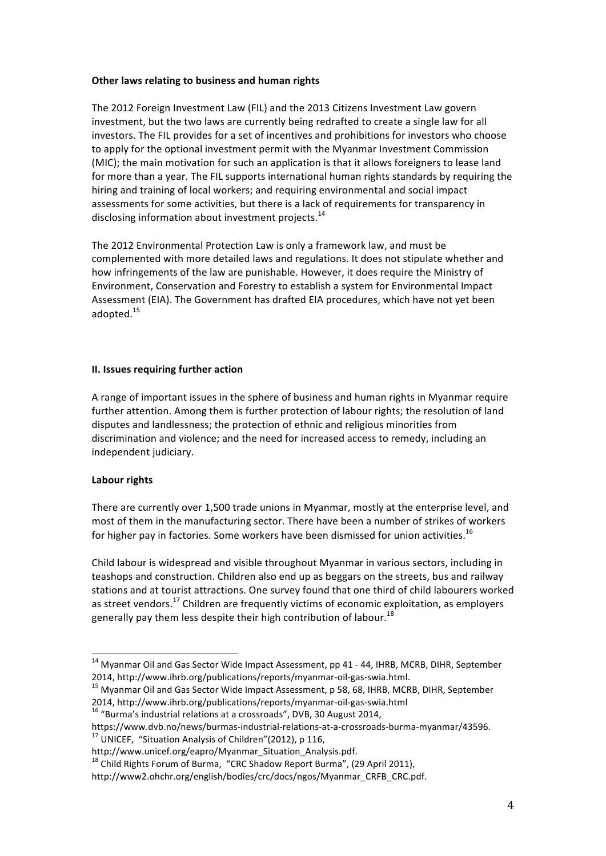### **Other laws relating to business and human rights**

The 2012 Foreign Investment Law (FIL) and the 2013 Citizens Investment Law govern investment, but the two laws are currently being redrafted to create a single law for all investors. The FIL provides for a set of incentives and prohibitions for investors who choose to apply for the optional investment permit with the Myanmar Investment Commission (MIC); the main motivation for such an application is that it allows foreigners to lease land for more than a year. The FIL supports international human rights standards by requiring the hiring and training of local workers; and requiring environmental and social impact assessments for some activities, but there is a lack of requirements for transparency in disclosing information about investment projects. $14$ 

The 2012 Environmental Protection Law is only a framework law, and must be complemented with more detailed laws and regulations. It does not stipulate whether and how infringements of the law are punishable. However, it does require the Ministry of Environment, Conservation and Forestry to establish a system for Environmental Impact Assessment (EIA). The Government has drafted EIA procedures, which have not yet been adopted. 15

# **II.** Issues requiring further action

A range of important issues in the sphere of business and human rights in Myanmar require further attention. Among them is further protection of labour rights; the resolution of land disputes and landlessness; the protection of ethnic and religious minorities from discrimination and violence; and the need for increased access to remedy, including an independent judiciary.

# **Labour rights**

There are currently over 1,500 trade unions in Myanmar, mostly at the enterprise level, and most of them in the manufacturing sector. There have been a number of strikes of workers for higher pay in factories. Some workers have been dismissed for union activities.<sup>16</sup>

Child labour is widespread and visible throughout Myanmar in various sectors, including in teashops and construction. Children also end up as beggars on the streets, bus and railway stations and at tourist attractions. One survey found that one third of child labourers worked as street vendors.<sup>17</sup> Children are frequently victims of economic exploitation, as employers generally pay them less despite their high contribution of labour.<sup>18</sup>

2014, http://www.ihrb.org/publications/reports/myanmar-oil-gas-swia.html.<br><sup>15</sup> Myanmar Oil and Gas Sector Wide Impact Assessment, p 58, 68, IHRB, MCRB, DIHR, September 2014, http://www.ihrb.org/publications/reports/myanmar-oil-gas-swia.html  $^{16}$  "Burma's industrial relations at a crossroads", DVB, 30 August 2014,

 $14$  Myanmar Oil and Gas Sector Wide Impact Assessment, pp 41 - 44, IHRB, MCRB, DIHR, September

https://www.dvb.no/news/burmas-industrial-relations-at-a-crossroads-burma-myanmar/43596.<br><sup>17</sup> UNICEF. "Situation Analysis of Children"(2012), p 116.

http://www.unicef.org/eapro/Myanmar\_Situation\_Analysis.pdf.<br><sup>18</sup> Child Rights Forum of Burma, "CRC Shadow Report Burma", (29 April 2011),

http://www2.ohchr.org/english/bodies/crc/docs/ngos/Myanmar\_CRFB\_CRC.pdf.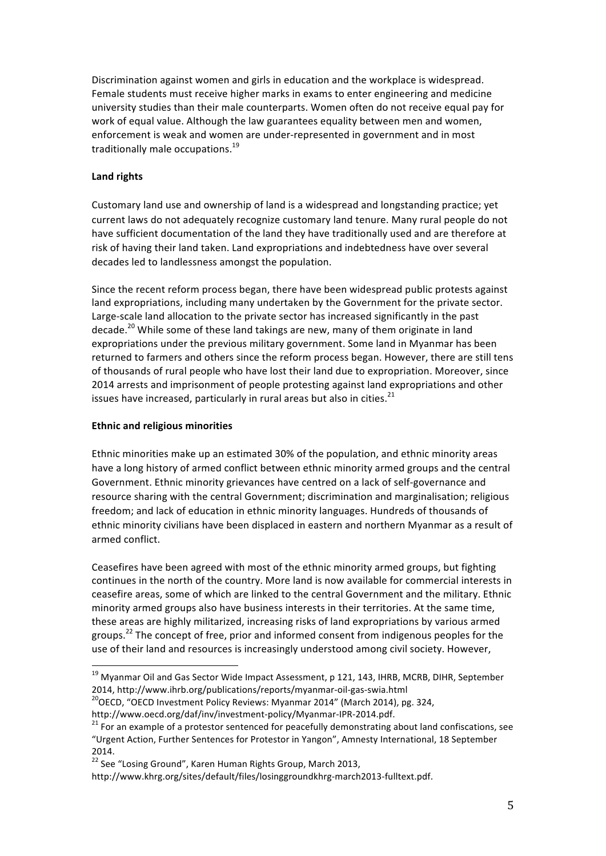Discrimination against women and girls in education and the workplace is widespread. Female students must receive higher marks in exams to enter engineering and medicine university studies than their male counterparts. Women often do not receive equal pay for work of equal value. Although the law guarantees equality between men and women, enforcement is weak and women are under-represented in government and in most traditionally male occupations.<sup>19</sup>

# **Land rights**

Customary land use and ownership of land is a widespread and longstanding practice; yet current laws do not adequately recognize customary land tenure. Many rural people do not have sufficient documentation of the land they have traditionally used and are therefore at risk of having their land taken. Land expropriations and indebtedness have over several decades led to landlessness amongst the population.

Since the recent reform process began, there have been widespread public protests against land expropriations, including many undertaken by the Government for the private sector. Large-scale land allocation to the private sector has increased significantly in the past decade.<sup>20</sup> While some of these land takings are new, many of them originate in land expropriations under the previous military government. Some land in Myanmar has been returned to farmers and others since the reform process began. However, there are still tens of thousands of rural people who have lost their land due to expropriation. Moreover, since 2014 arrests and imprisonment of people protesting against land expropriations and other issues have increased, particularly in rural areas but also in cities. $^{21}$ 

### **Ethnic and religious minorities**

Ethnic minorities make up an estimated 30% of the population, and ethnic minority areas have a long history of armed conflict between ethnic minority armed groups and the central Government. Ethnic minority grievances have centred on a lack of self-governance and resource sharing with the central Government; discrimination and marginalisation; religious freedom; and lack of education in ethnic minority languages. Hundreds of thousands of ethnic minority civilians have been displaced in eastern and northern Myanmar as a result of armed conflict.

Ceasefires have been agreed with most of the ethnic minority armed groups, but fighting continues in the north of the country. More land is now available for commercial interests in ceasefire areas, some of which are linked to the central Government and the military. Ethnic minority armed groups also have business interests in their territories. At the same time, these areas are highly militarized, increasing risks of land expropriations by various armed groups.<sup>22</sup> The concept of free, prior and informed consent from indigenous peoples for the use of their land and resources is increasingly understood among civil society. However,

 $19$  Myanmar Oil and Gas Sector Wide Impact Assessment, p 121, 143, IHRB, MCRB, DIHR, September 2014, http://www.ihrb.org/publications/reports/myanmar-oil-gas-swia.html  $^{20}$ OECD, "OECD Investment Policy Reviews: Myanmar 2014" (March 2014), pg. 324,

http://www.oecd.org/daf/inv/investment-policy/Myanmar-IPR-2014.pdf.<br><sup>21</sup> For an example of a protestor sentenced for peacefully demonstrating about land confiscations, see "Urgent Action, Further Sentences for Protestor in Yangon", Amnesty International, 18 September 2014.

 $22$  See "Losing Ground", Karen Human Rights Group, March 2013,

http://www.khrg.org/sites/default/files/losinggroundkhrg-march2013-fulltext.pdf.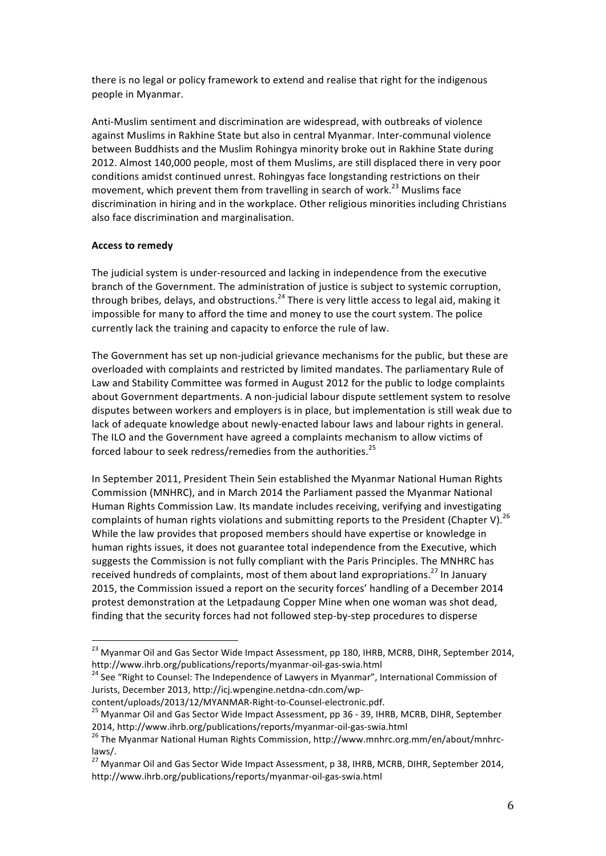there is no legal or policy framework to extend and realise that right for the indigenous people in Myanmar.

Anti-Muslim sentiment and discrimination are widespread, with outbreaks of violence against Muslims in Rakhine State but also in central Myanmar. Inter-communal violence between Buddhists and the Muslim Rohingya minority broke out in Rakhine State during 2012. Almost 140,000 people, most of them Muslims, are still displaced there in very poor conditions amidst continued unrest. Rohingyas face longstanding restrictions on their movement, which prevent them from travelling in search of work.<sup>23</sup> Muslims face discrimination in hiring and in the workplace. Other religious minorities including Christians also face discrimination and marginalisation.

### **Access to remedy**

The judicial system is under-resourced and lacking in independence from the executive branch of the Government. The administration of justice is subject to systemic corruption, through bribes, delays, and obstructions. $^{24}$  There is very little access to legal aid, making it impossible for many to afford the time and money to use the court system. The police currently lack the training and capacity to enforce the rule of law.

The Government has set up non-judicial grievance mechanisms for the public, but these are overloaded with complaints and restricted by limited mandates. The parliamentary Rule of Law and Stability Committee was formed in August 2012 for the public to lodge complaints about Government departments. A non-judicial labour dispute settlement system to resolve disputes between workers and employers is in place, but implementation is still weak due to lack of adequate knowledge about newly-enacted labour laws and labour rights in general. The ILO and the Government have agreed a complaints mechanism to allow victims of forced labour to seek redress/remedies from the authorities.<sup>25</sup>

In September 2011, President Thein Sein established the Myanmar National Human Rights Commission (MNHRC), and in March 2014 the Parliament passed the Myanmar National Human Rights Commission Law. Its mandate includes receiving, verifying and investigating complaints of human rights violations and submitting reports to the President (Chapter V).<sup>26</sup> While the law provides that proposed members should have expertise or knowledge in human rights issues, it does not guarantee total independence from the Executive, which suggests the Commission is not fully compliant with the Paris Principles. The MNHRC has received hundreds of complaints, most of them about land expropriations.<sup>27</sup> In January 2015, the Commission issued a report on the security forces' handling of a December 2014 protest demonstration at the Letpadaung Copper Mine when one woman was shot dead, finding that the security forces had not followed step-by-step procedures to disperse

<sup>&</sup>lt;sup>23</sup> Myanmar Oil and Gas Sector Wide Impact Assessment, pp 180, IHRB, MCRB, DIHR, September 2014,<br>http://www.ihrb.org/publications/reports/myanmar-oil-gas-swia.html

 $A<sup>24</sup>$  See "Right to Counsel: The Independence of Lawyers in Myanmar", International Commission of Jurists, December 2013, http://icj.wpengine.netdna-cdn.com/wp-

content/uploads/2013/12/MYANMAR-Right-to-Counsel-electronic.pdf.<br><sup>25</sup> Myanmar Oil and Gas Sector Wide Impact Assessment, pp 36 - 39, IHRB, MCRB, DIHR, September 2014, http://www.ihrb.org/publications/reports/myanmar-oil-gas-swia.html<br><sup>26</sup> The Myanmar National Human Rights Commission, http://www.mnhrc.org.mm/en/about/mnhrc-

laws/.

 $^{27}$  Myanmar Oil and Gas Sector Wide Impact Assessment, p 38, IHRB, MCRB, DIHR, September 2014, http://www.ihrb.org/publications/reports/myanmar-oil-gas-swia.html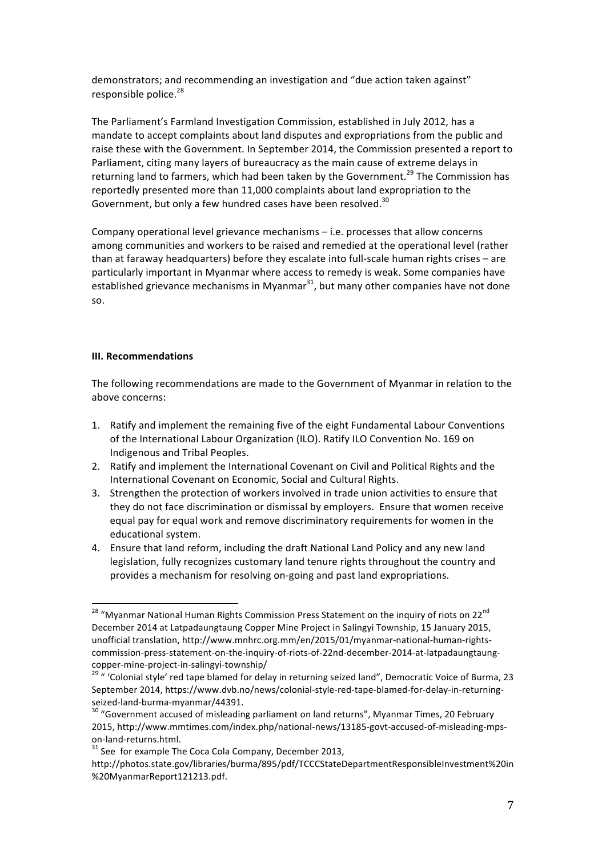demonstrators; and recommending an investigation and "due action taken against" responsible police. $28$ 

The Parliament's Farmland Investigation Commission, established in July 2012, has a mandate to accept complaints about land disputes and expropriations from the public and raise these with the Government. In September 2014, the Commission presented a report to Parliament, citing many layers of bureaucracy as the main cause of extreme delays in returning land to farmers, which had been taken by the Government.<sup>29</sup> The Commission has reportedly presented more than 11,000 complaints about land expropriation to the Government, but only a few hundred cases have been resolved.<sup>30</sup>

Company operational level grievance mechanisms  $-$  i.e. processes that allow concerns among communities and workers to be raised and remedied at the operational level (rather than at faraway headquarters) before they escalate into full-scale human rights crises – are particularly important in Myanmar where access to remedy is weak. Some companies have established grievance mechanisms in Myanmar<sup>31</sup>, but many other companies have not done so.

#### **III. Recommendations**

The following recommendations are made to the Government of Myanmar in relation to the above concerns:

- 1. Ratify and implement the remaining five of the eight Fundamental Labour Conventions of the International Labour Organization (ILO). Ratify ILO Convention No. 169 on Indigenous and Tribal Peoples.
- 2. Ratify and implement the International Covenant on Civil and Political Rights and the International Covenant on Economic, Social and Cultural Rights.
- 3. Strengthen the protection of workers involved in trade union activities to ensure that they do not face discrimination or dismissal by employers. Ensure that women receive equal pay for equal work and remove discriminatory requirements for women in the educational system.
- 4. Ensure that land reform, including the draft National Land Policy and any new land legislation, fully recognizes customary land tenure rights throughout the country and provides a mechanism for resolving on-going and past land expropriations.

<sup>&</sup>lt;sup>28</sup> "Myanmar National Human Rights Commission Press Statement on the inquiry of riots on 22<sup>nd</sup> December 2014 at Latpadaungtaung Copper Mine Project in Salingyi Township, 15 January 2015, unofficial translation, http://www.mnhrc.org.mm/en/2015/01/myanmar-national-human-rightscommission-press-statement-on-the-inquiry-of-riots-of-22nd-december-2014-at-latpadaungtaung-

copper-mine-project-in-salingyi-township/<br><sup>29</sup> " 'Colonial style' red tape blamed for delay in returning seized land", Democratic Voice of Burma, 23 September 2014, https://www.dvb.no/news/colonial-style-red-tape-blamed-for-delay-in-returningseized-land-burma-myanmar/44391.<br><sup>30</sup> "Government accused of misleading parliament on land returns", Myanmar Times, 20 February

<sup>2015,</sup> http://www.mmtimes.com/index.php/national-news/13185-govt-accused-of-misleading-mpson-land-returns.html.<br><sup>31</sup> See for example The Coca Cola Company, December 2013,

http://photos.state.gov/libraries/burma/895/pdf/TCCCStateDepartmentResponsibleInvestment%20in %20MyanmarReport121213.pdf.